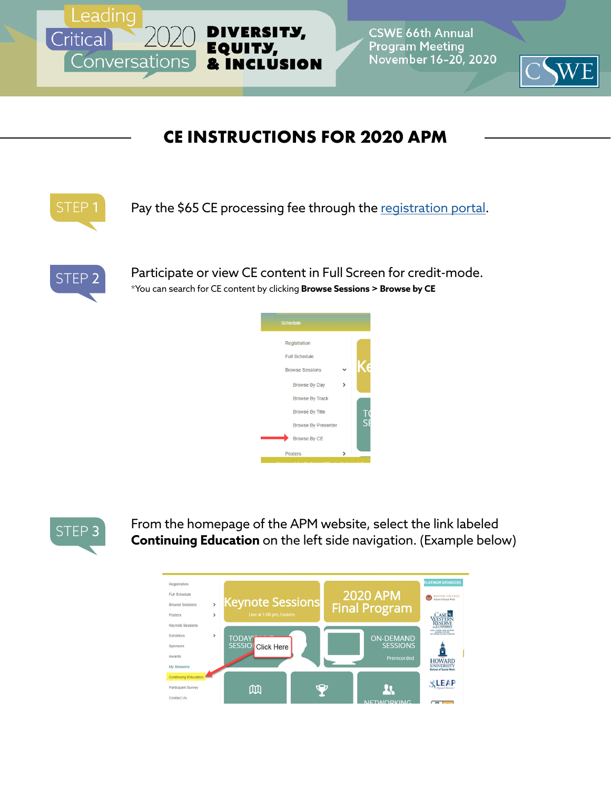

**CSWE 66th Annual Program Meeting** November 16-20, 2020



## **CE INSTRUCTIONS FOR 2020 APM**



Pay the \$65 CE processing fee through the [registration portal.](https://show.jspargo.com/cswe20/reg/default.asp)



Participate or view CE content in Full Screen for credit-mode. \*You can search for CE content by clicking **Browse Sessions > Browse by CE**





From the homepage of the APM website, select the link labeled **Continuing Education** on the left side navigation. (Example below)

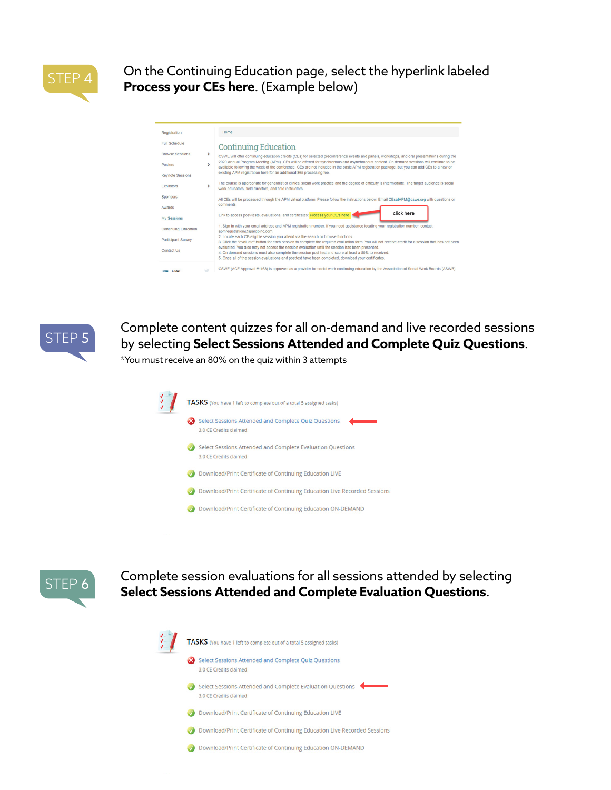

On the Continuing Education page, select the hyperlink labeled **Process your CEs here**. (Example below)

| Registration                |   | Home                                                                                                                                                                                                                                                                                                            |
|-----------------------------|---|-----------------------------------------------------------------------------------------------------------------------------------------------------------------------------------------------------------------------------------------------------------------------------------------------------------------|
| <b>Full Schedule</b>        |   | <b>Continuing Education</b>                                                                                                                                                                                                                                                                                     |
| <b>Browse Sessions</b>      | > | CSWE will offer continuing education credits (CEs) for selected preconference events and panels, workshops, and oral presentations during the                                                                                                                                                                   |
| Posters                     | × | 2020 Annual Program Meeting (APM). CEs will be offered for synchronous and asynchronous content. On demand sessions will continue to be<br>available following the week of the conference. CEs are not included in the basic APM registration package, but you can add CEs to a new or                          |
| <b>Keynote Sessions</b>     |   | existing APM registration here for an additional \$65 processing fee.                                                                                                                                                                                                                                           |
| <b>Exhibitors</b>           |   | The course is appropriate for generalist or clinical social work practice and the degree of difficulty is intermediate. The target audience is social<br>work educators, field directors, and field instructors.                                                                                                |
| <b>Sponsors</b>             |   | All CEs will be processed through the APM virtual platform. Please follow the instructions below. Email CEsatAPM@cswe.org with questions or                                                                                                                                                                     |
| Awards                      |   | comments.                                                                                                                                                                                                                                                                                                       |
| <b>Mv Sessions</b>          |   | click here<br>Link to access post-tests, evaluations, and certificates: Process your CE's here                                                                                                                                                                                                                  |
| <b>Continuing Education</b> |   | 1. Sign in with your email address and APM registration number. If you need assistance locating your registration number, contact<br>apmregistration@spargoinc.com.                                                                                                                                             |
| <b>Participant Survey</b>   |   | 2. Locate each CE-eligible session you attend via the search or browse functions.<br>3. Click the "evaluate" button for each session to complete the required evaluation form. You will not receive credit for a session that has not been                                                                      |
| Contact Us                  |   | evaluated. You also may not access the session evaluation until the session has been presented.<br>4. On demand sessions must also complete the session post-test and score at least a 80% to received.<br>5. Once all of the session evaluations and posttest have been completed, download your certificates. |
| CSWE                        |   | CSWE (ACE Approval #1163) is approved as a provider for social work continuing education by the Association of Social Work Boards (ASWB)                                                                                                                                                                        |



Complete content quizzes for all on-demand and live recorded sessions by selecting **Select Sessions Attended and Complete Quiz Questions**.

\*You must receive an 80% on the quiz within 3 attempts





Complete session evaluations for all sessions attended by selecting **Select Sessions Attended and Complete Evaluation Questions**.